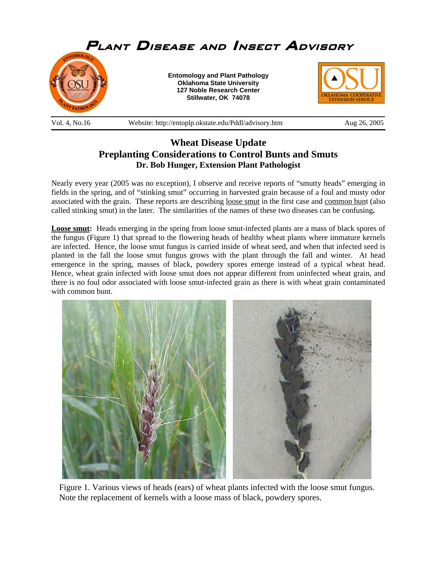

#### Vol. 4, No.16 Website: http://entoplp.okstate.edu/Pddl/advisory.htm Aug 26, 2005

# **Wheat Disease Update Preplanting Considerations to Control Bunts and Smuts Dr. Bob Hunger, Extension Plant Pathologist**

Nearly every year (2005 was no exception), I observe and receive reports of "smutty heads" emerging in fields in the spring, and of "stinking smut" occurring in harvested grain because of a foul and musty odor associated with the grain. These reports are describing loose smut in the first case and common bunt (also called stinking smut) in the later. The similarities of the names of these two diseases can be confusing**.** 

**Loose smut:** Heads emerging in the spring from loose smut-infected plants are a mass of black spores of the fungus (Figure 1) that spread to the flowering heads of healthy wheat plants where immature kernels are infected. Hence, the loose smut fungus is carried inside of wheat seed, and when that infected seed is planted in the fall the loose smut fungus grows with the plant through the fall and winter. At head emergence in the spring, masses of black, powdery spores emerge instead of a typical wheat head. Hence, wheat grain infected with loose smut does not appear different from uninfected wheat grain, and there is no foul odor associated with loose smut-infected grain as there is with wheat grain contaminated with common bunt.



Figure 1. Various views of heads (ears) of wheat plants infected with the loose smut fungus. Note the replacement of kernels with a loose mass of black, powdery spores.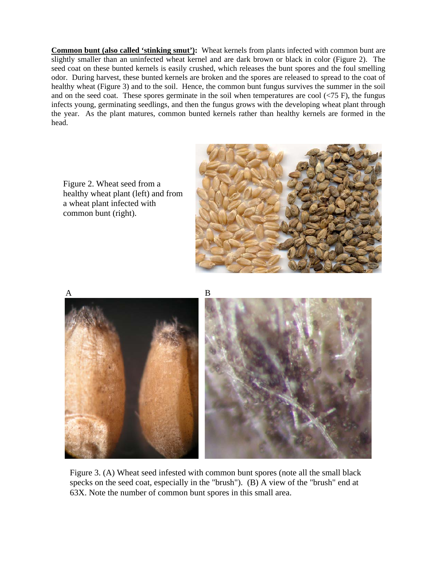**Common bunt (also called 'stinking smut'):** Wheat kernels from plants infected with common bunt are slightly smaller than an uninfected wheat kernel and are dark brown or black in color (Figure 2). The seed coat on these bunted kernels is easily crushed, which releases the bunt spores and the foul smelling odor. During harvest, these bunted kernels are broken and the spores are released to spread to the coat of healthy wheat (Figure 3) and to the soil. Hence, the common bunt fungus survives the summer in the soil and on the seed coat. These spores germinate in the soil when temperatures are cool  $\langle$  <75 F), the fungus infects young, germinating seedlings, and then the fungus grows with the developing wheat plant through the year. As the plant matures, common bunted kernels rather than healthy kernels are formed in the head.



Figure 2. Wheat seed from a healthy wheat plant (left) and from a wheat plant infected with common bunt (right).



Figure 3. (A) Wheat seed infested with common bunt spores (note all the small black specks on the seed coat, especially in the "brush"). (B) A view of the "brush" end at 63X. Note the number of common bunt spores in this small area.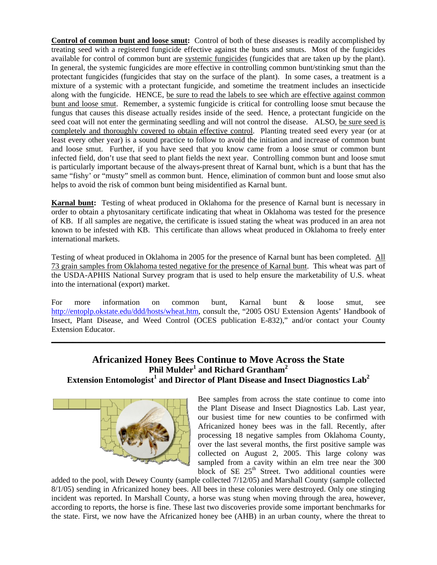**Control of common bunt and loose smut:** Control of both of these diseases is readily accomplished by treating seed with a registered fungicide effective against the bunts and smuts. Most of the fungicides available for control of common bunt are systemic fungicides (fungicides that are taken up by the plant). In general, the systemic fungicides are more effective in controlling common bunt/stinking smut than the protectant fungicides (fungicides that stay on the surface of the plant). In some cases, a treatment is a mixture of a systemic with a protectant fungicide, and sometime the treatment includes an insecticide along with the fungicide. HENCE, be sure to read the labels to see which are effective against common bunt and loose smut. Remember, a systemic fungicide is critical for controlling loose smut because the fungus that causes this disease actually resides inside of the seed. Hence, a protectant fungicide on the seed coat will not enter the germinating seedling and will not control the disease. ALSO, be sure seed is completely and thoroughly covered to obtain effective control. Planting treated seed every year (or at least every other year) is a sound practice to follow to avoid the initiation and increase of common bunt and loose smut. Further, if you have seed that you know came from a loose smut or common bunt infected field, don't use that seed to plant fields the next year. Controlling common bunt and loose smut is particularly important because of the always-present threat of Karnal bunt, which is a bunt that has the same "fishy' or "musty" smell as common bunt. Hence, elimination of common bunt and loose smut also helps to avoid the risk of common bunt being misidentified as Karnal bunt.

**Karnal bunt:** Testing of wheat produced in Oklahoma for the presence of Karnal bunt is necessary in order to obtain a phytosanitary certificate indicating that wheat in Oklahoma was tested for the presence of KB. If all samples are negative, the certificate is issued stating the wheat was produced in an area not known to be infested with KB. This certificate than allows wheat produced in Oklahoma to freely enter international markets.

Testing of wheat produced in Oklahoma in 2005 for the presence of Karnal bunt has been completed. All 73 grain samples from Oklahoma tested negative for the presence of Karnal bunt. This wheat was part of the USDA-APHIS National Survey program that is used to help ensure the marketability of U.S. wheat into the international (export) market.

For more information on common bunt, Karnal bunt & loose smut, see http://entoplp.okstate.edu/ddd/hosts/wheat.htm, consult the, "2005 OSU Extension Agents' Handbook of Insect, Plant Disease, and Weed Control (OCES publication E-832)," and/or contact your County Extension Educator.

\_\_\_\_\_\_\_\_\_\_\_\_\_\_\_\_\_\_\_\_\_\_\_\_\_\_\_\_\_\_\_\_\_\_\_\_\_\_\_\_\_\_\_\_\_\_\_\_\_\_\_\_\_\_\_\_\_\_\_\_\_\_\_\_\_\_\_\_\_\_\_\_\_\_\_\_\_\_

### **Africanized Honey Bees Continue to Move Across the State**   $\mathbf{Phi}^1$  and Richard Grantham $^2$ **Extension Entomologist<sup>1</sup> and Director of Plant Disease and Insect Diagnostics Lab2**



Bee samples from across the state continue to come into the Plant Disease and Insect Diagnostics Lab. Last year, our busiest time for new counties to be confirmed with Africanized honey bees was in the fall. Recently, after processing 18 negative samples from Oklahoma County, over the last several months, the first positive sample was collected on August 2, 2005. This large colony was sampled from a cavity within an elm tree near the 300 block of SE  $25<sup>th</sup>$  Street. Two additional counties were

added to the pool, with Dewey County (sample collected 7/12/05) and Marshall County (sample collected 8/1/05) sending in Africanized honey bees. All bees in these colonies were destroyed. Only one stinging incident was reported. In Marshall County, a horse was stung when moving through the area, however, according to reports, the horse is fine. These last two discoveries provide some important benchmarks for the state. First, we now have the Africanized honey bee (AHB) in an urban county, where the threat to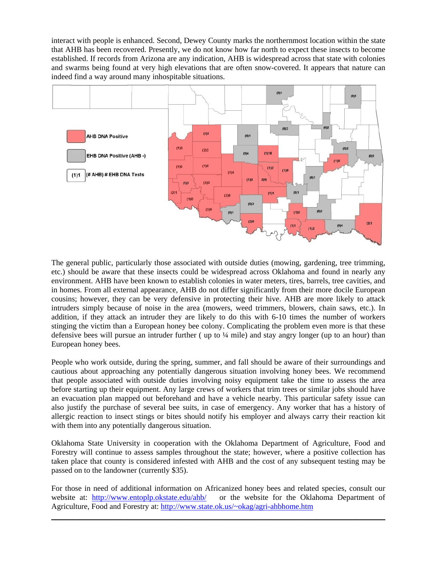interact with people is enhanced. Second, Dewey County marks the northernmost location within the state that AHB has been recovered. Presently, we do not know how far north to expect these insects to become established. If records from Arizona are any indication, AHB is widespread across that state with colonies and swarms being found at very high elevations that are often snow-covered. It appears that nature can indeed find a way around many inhospitable situations.



The general public, particularly those associated with outside duties (mowing, gardening, tree trimming, etc.) should be aware that these insects could be widespread across Oklahoma and found in nearly any environment. AHB have been known to establish colonies in water meters, tires, barrels, tree cavities, and in homes. From all external appearance, AHB do not differ significantly from their more docile European cousins; however, they can be very defensive in protecting their hive. AHB are more likely to attack intruders simply because of noise in the area (mowers, weed trimmers, blowers, chain saws, etc.). In addition, if they attack an intruder they are likely to do this with 6-10 times the number of workers stinging the victim than a European honey bee colony. Complicating the problem even more is that these defensive bees will pursue an intruder further ( up to ¼ mile) and stay angry longer (up to an hour) than European honey bees.

People who work outside, during the spring, summer, and fall should be aware of their surroundings and cautious about approaching any potentially dangerous situation involving honey bees. We recommend that people associated with outside duties involving noisy equipment take the time to assess the area before starting up their equipment. Any large crews of workers that trim trees or similar jobs should have an evacuation plan mapped out beforehand and have a vehicle nearby. This particular safety issue can also justify the purchase of several bee suits, in case of emergency. Any worker that has a history of allergic reaction to insect stings or bites should notify his employer and always carry their reaction kit with them into any potentially dangerous situation.

Oklahoma State University in cooperation with the Oklahoma Department of Agriculture, Food and Forestry will continue to assess samples throughout the state; however, where a positive collection has taken place that county is considered infested with AHB and the cost of any subsequent testing may be passed on to the landowner (currently \$35).

For those in need of additional information on Africanized honey bees and related species, consult our website at: http://www.entoplp.okstate.edu/ahb/ or the website for the Oklahoma Department of Agriculture, Food and Forestry at: http://www.state.ok.us/~okag/agri-ahbhome.htm

\_\_\_\_\_\_\_\_\_\_\_\_\_\_\_\_\_\_\_\_\_\_\_\_\_\_\_\_\_\_\_\_\_\_\_\_\_\_\_\_\_\_\_\_\_\_\_\_\_\_\_\_\_\_\_\_\_\_\_\_\_\_\_\_\_\_\_\_\_\_\_\_\_\_\_\_\_\_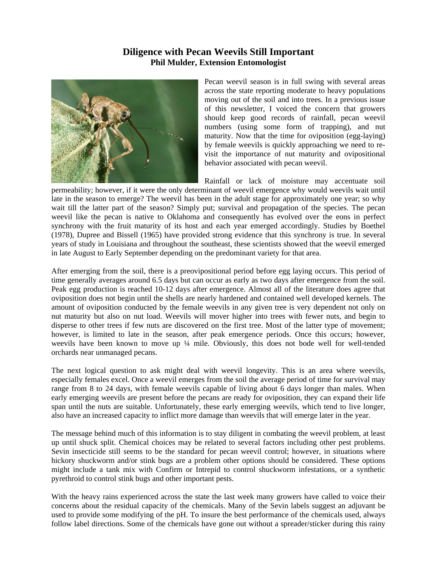### **Diligence with Pecan Weevils Still Important Phil Mulder, Extension Entomologist**



Pecan weevil season is in full swing with several areas across the state reporting moderate to heavy populations moving out of the soil and into trees. In a previous issue of this newsletter, I voiced the concern that growers should keep good records of rainfall, pecan weevil numbers (using some form of trapping), and nut maturity. Now that the time for oviposition (egg-laying) by female weevils is quickly approaching we need to revisit the importance of nut maturity and ovipositional behavior associated with pecan weevil.

Rainfall or lack of moisture may accentuate soil permeability; however, if it were the only determinant of weevil emergence why would weevils wait until late in the season to emerge? The weevil has been in the adult stage for approximately one year; so why wait till the latter part of the season? Simply put; survival and propagation of the species. The pecan weevil like the pecan is native to Oklahoma and consequently has evolved over the eons in perfect synchrony with the fruit maturity of its host and each year emerged accordingly. Studies by Boethel (1978), Dupree and Bissell (1965) have provided strong evidence that this synchrony is true. In several years of study in Louisiana and throughout the southeast, these scientists showed that the weevil emerged in late August to Early September depending on the predominant variety for that area.

After emerging from the soil, there is a preovipositional period before egg laying occurs. This period of time generally averages around 6.5 days but can occur as early as two days after emergence from the soil. Peak egg production is reached 10-12 days after emergence. Almost all of the literature does agree that oviposition does not begin until the shells are nearly hardened and contained well developed kernels. The amount of oviposition conducted by the female weevils in any given tree is very dependent not only on nut maturity but also on nut load. Weevils will mover higher into trees with fewer nuts, and begin to disperse to other trees if few nuts are discovered on the first tree. Most of the latter type of movement; however, is limited to late in the season, after peak emergence periods. Once this occurs; however, weevils have been known to move up ¼ mile. Obviously, this does not bode well for well-tended orchards near unmanaged pecans.

The next logical question to ask might deal with weevil longevity. This is an area where weevils, especially females excel. Once a weevil emerges from the soil the average period of time for survival may range from 8 to 24 days, with female weevils capable of living about 6 days longer than males. When early emerging weevils are present before the pecans are ready for oviposition, they can expand their life span until the nuts are suitable. Unfortunately, these early emerging weevils, which tend to live longer, also have an increased capacity to inflict more damage than weevils that will emerge later in the year.

The message behind much of this information is to stay diligent in combating the weevil problem, at least up until shuck split. Chemical choices may be related to several factors including other pest problems. Sevin insecticide still seems to be the standard for pecan weevil control; however, in situations where hickory shuckworm and/or stink bugs are a problem other options should be considered. These options might include a tank mix with Confirm or Intrepid to control shuckworm infestations, or a synthetic pyrethroid to control stink bugs and other important pests.

With the heavy rains experienced across the state the last week many growers have called to voice their concerns about the residual capacity of the chemicals. Many of the Sevin labels suggest an adjuvant be used to provide some modifying of the pH. To insure the best performance of the chemicals used, always follow label directions. Some of the chemicals have gone out without a spreader/sticker during this rainy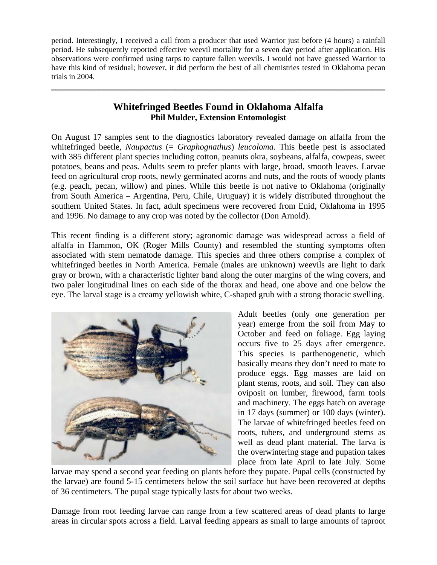period. Interestingly, I received a call from a producer that used Warrior just before (4 hours) a rainfall period. He subsequently reported effective weevil mortality for a seven day period after application. His observations were confirmed using tarps to capture fallen weevils. I would not have guessed Warrior to have this kind of residual; however, it did perform the best of all chemistries tested in Oklahoma pecan trials in 2004.

## **Whitefringed Beetles Found in Oklahoma Alfalfa Phil Mulder, Extension Entomologist**

\_\_\_\_\_\_\_\_\_\_\_\_\_\_\_\_\_\_\_\_\_\_\_\_\_\_\_\_\_\_\_\_\_\_\_\_\_\_\_\_\_\_\_\_\_\_\_\_\_\_\_\_\_\_\_\_\_\_\_\_\_\_\_\_\_\_\_\_\_\_\_\_\_\_\_\_\_\_

On August 17 samples sent to the diagnostics laboratory revealed damage on alfalfa from the whitefringed beetle, *Naupactus* (= *Graphognathus*) *leucoloma*. This beetle pest is associated with 385 different plant species including cotton, peanuts okra, soybeans, alfalfa, cowpeas, sweet potatoes, beans and peas. Adults seem to prefer plants with large, broad, smooth leaves. Larvae feed on agricultural crop roots, newly germinated acorns and nuts, and the roots of woody plants (e.g. peach, pecan, willow) and pines. While this beetle is not native to Oklahoma (originally from South America – Argentina, Peru, Chile, Uruguay) it is widely distributed throughout the southern United States. In fact, adult specimens were recovered from Enid, Oklahoma in 1995 and 1996. No damage to any crop was noted by the collector (Don Arnold).

This recent finding is a different story; agronomic damage was widespread across a field of alfalfa in Hammon, OK (Roger Mills County) and resembled the stunting symptoms often associated with stem nematode damage. This species and three others comprise a complex of whitefringed beetles in North America. Female (males are unknown) weevils are light to dark gray or brown, with a characteristic lighter band along the outer margins of the wing covers, and two paler longitudinal lines on each side of the thorax and head, one above and one below the eye. The larval stage is a creamy yellowish white, C-shaped grub with a strong thoracic swelling.



Adult beetles (only one generation per year) emerge from the soil from May to October and feed on foliage. Egg laying occurs five to 25 days after emergence. This species is parthenogenetic, which basically means they don't need to mate to produce eggs. Egg masses are laid on plant stems, roots, and soil. They can also oviposit on lumber, firewood, farm tools and machinery. The eggs hatch on average in 17 days (summer) or 100 days (winter). The larvae of whitefringed beetles feed on roots, tubers, and underground stems as well as dead plant material. The larva is the overwintering stage and pupation takes place from late April to late July. Some

larvae may spend a second year feeding on plants before they pupate. Pupal cells (constructed by the larvae) are found 5-15 centimeters below the soil surface but have been recovered at depths of 36 centimeters. The pupal stage typically lasts for about two weeks.

Damage from root feeding larvae can range from a few scattered areas of dead plants to large areas in circular spots across a field. Larval feeding appears as small to large amounts of taproot